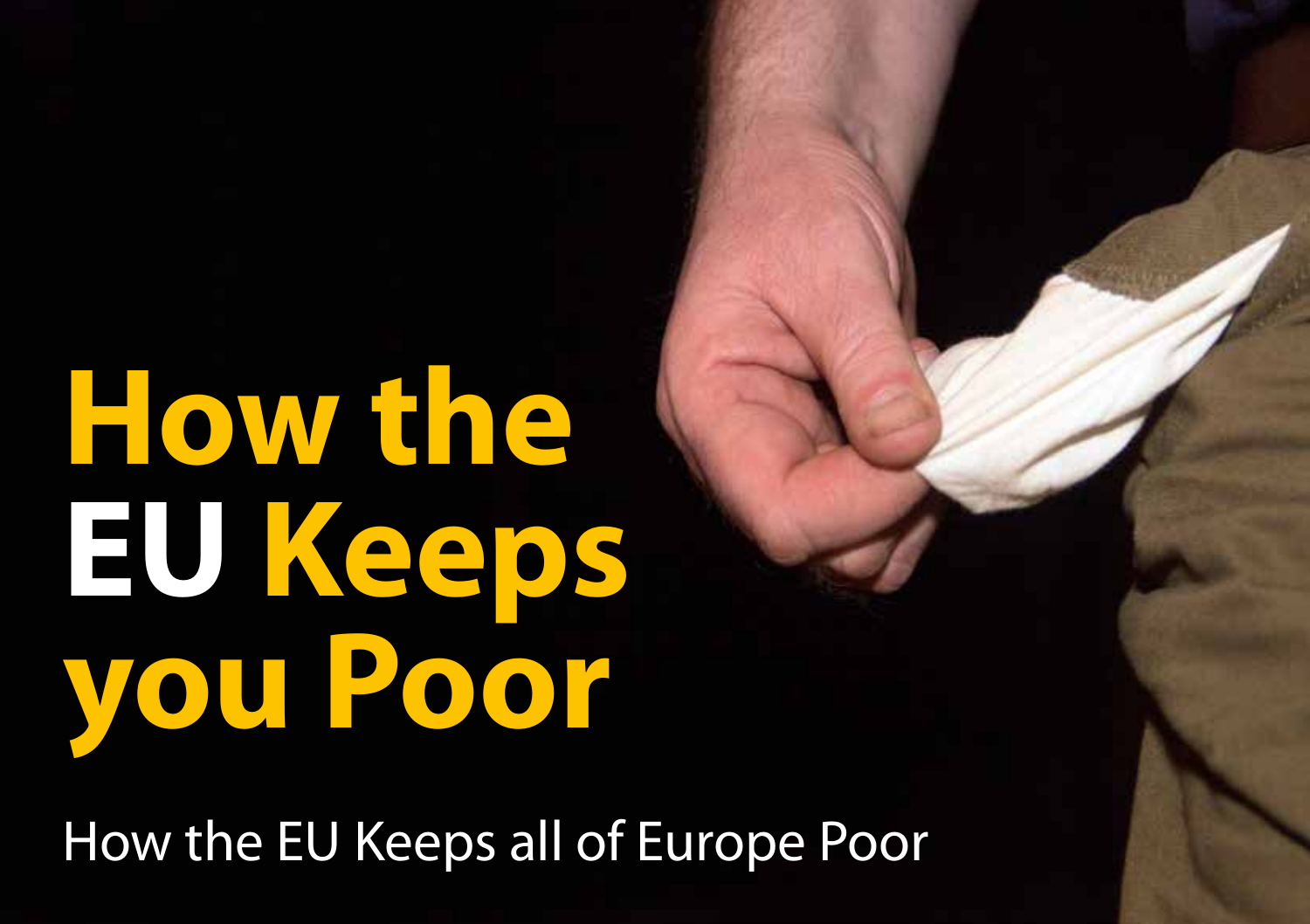# **How the EU Keeps you Poor**

How the EU Keeps all of Europe Poor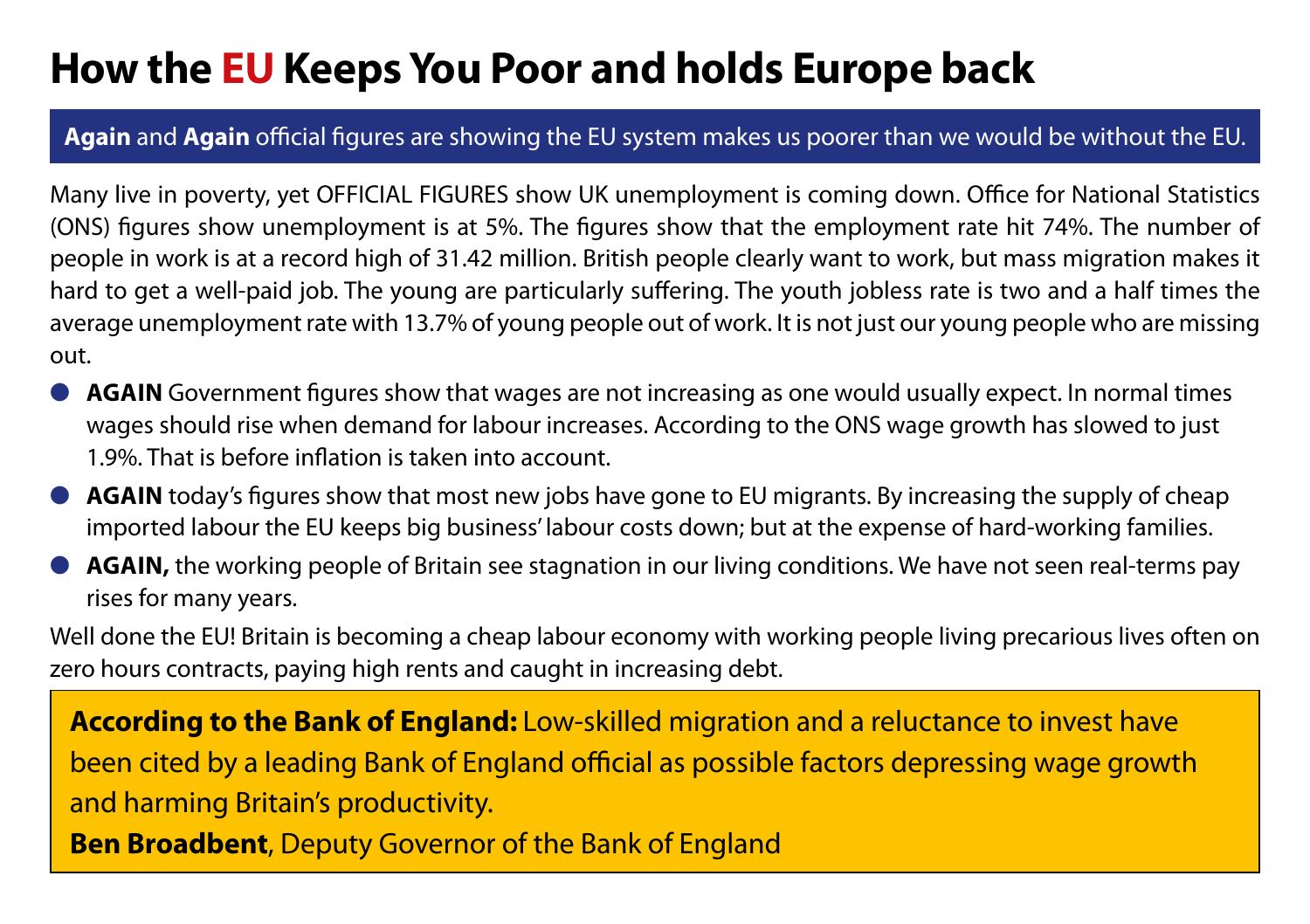## **How the EU Keeps You Poor and holds Europe back**

### **Again** and **Again** official figures are showing the EU system makes us poorer than we would be without the EU.

Many live in poverty, yet OFFICIAL FIGURES show UK unemployment is coming down. Office for National Statistics (ONS) figures show unemployment is at 5%. The figures show that the employment rate hit 74%. The number of people in work is at a record high of 31.42 million. British people clearly want to work, but mass migration makes it hard to get a well-paid job. The young are particularly suffering. The youth jobless rate is two and a half times the average unemployment rate with 13.7% of young people out of work. It is not just our young people who are missing out.

- **AGAIN** Government figures show that wages are not increasing as one would usually expect. In normal times wages should rise when demand for labour increases. According to the ONS wage growth has slowed to just 1.9%. That is before inflation is taken into account.
- **AGAIN** today's figures show that most new jobs have gone to EU migrants. By increasing the supply of cheap imported labour the EU keeps big business' labour costs down; but at the expense of hard-working families.
- **AGAIN,** the working people of Britain see stagnation in our living conditions. We have not seen real-terms pay rises for many years.

Well done the EU! Britain is becoming a cheap labour economy with working people living precarious lives often on zero hours contracts, paying high rents and caught in increasing debt.

**According to the Bank of England:** Low-skilled migration and a reluctance to invest have been cited by a leading Bank of England official as possible factors depressing wage growth and harming Britain's productivity.

**Ben Broadbent**, Deputy Governor of the Bank of England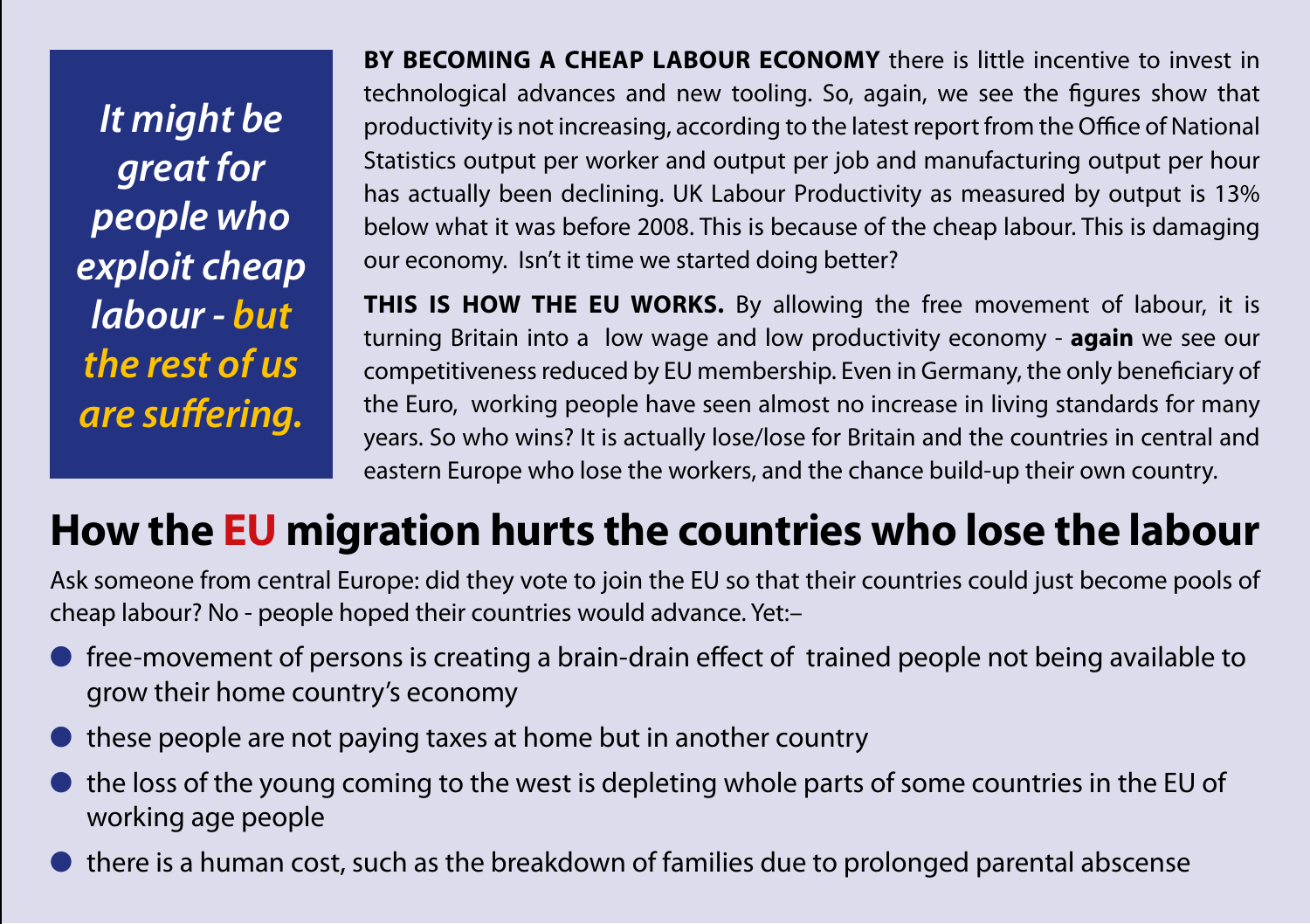*It might be great for people who exploit cheap labour - but the rest of us are suffering.*

**BY BECOMING A CHEAP LABOUR ECONOMY** there is little incentive to invest in technological advances and new tooling. So, again, we see the figures show that productivity is not increasing, according to the latest report from the Office of National Statistics output per worker and output per job and manufacturing output per hour has actually been declining. UK Labour Productivity as measured by output is 13% below what it was before 2008. This is because of the cheap labour. This is damaging our economy. Isn't it time we started doing better?

**THIS IS HOW THE EU WORKS.** By allowing the free movement of labour, it is turning Britain into a low wage and low productivity economy - **again** we see our competitiveness reduced by EU membership. Even in Germany, the only beneficiary of the Euro, working people have seen almost no increase in living standards for many years. So who wins? It is actually lose/lose for Britain and the countries in central and eastern Europe who lose the workers, and the chance build-up their own country.

# **How the EU migration hurts the countries who lose the labour**

Ask someone from central Europe: did they vote to join the EU so that their countries could just become pools of cheap labour? No - people hoped their countries would advance. Yet:–

- free-movement of persons is creating a brain-drain effect of trained people not being available to grow their home country's economy
- these people are not paying taxes at home but in another country
- the loss of the young coming to the west is depleting whole parts of some countries in the EU of working age people
- there is a human cost, such as the breakdown of families due to prolonged parental abscense